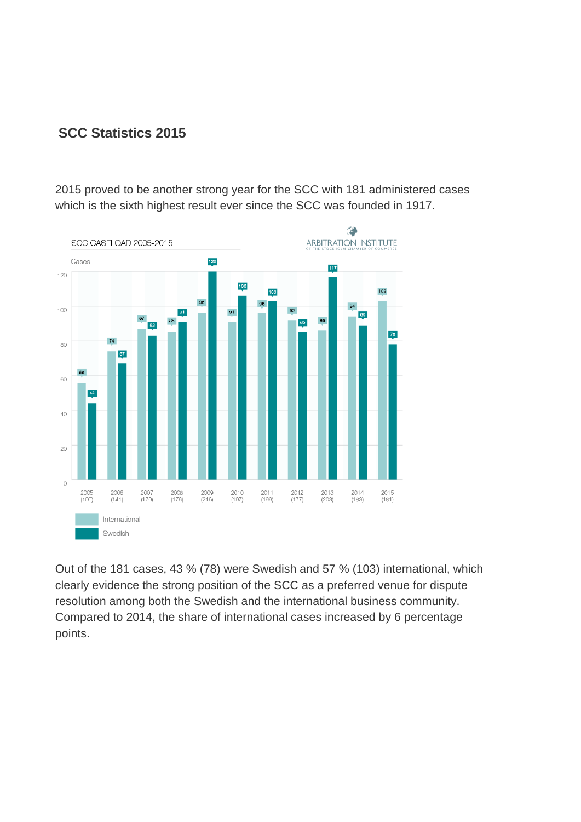## **SCC Statistics 2015**

2015 proved to be another strong year for the SCC with 181 administered cases which is the sixth highest result ever since the SCC was founded in 1917.



Out of the 181 cases, 43 % (78) were Swedish and 57 % (103) international, which clearly evidence the strong position of the SCC as a preferred venue for dispute resolution among both the Swedish and the international business community. Compared to 2014, the share of international cases increased by 6 percentage points.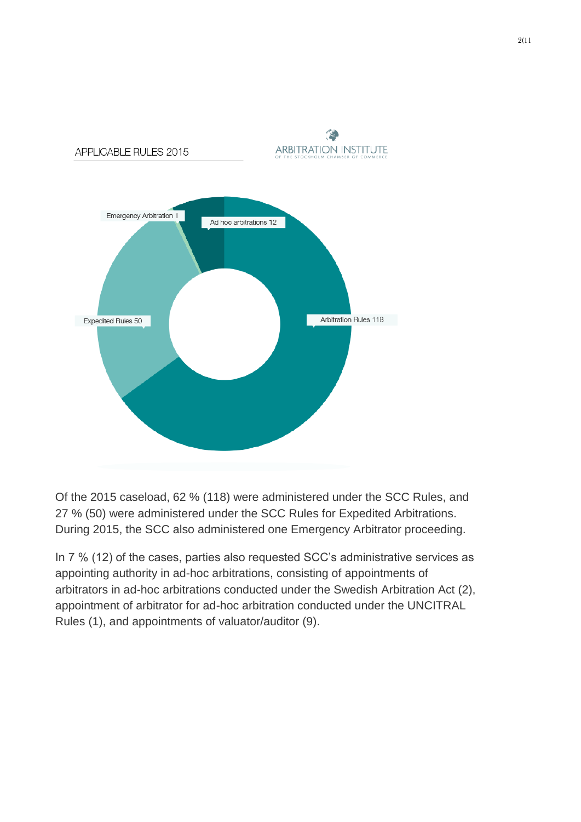

Of the 2015 caseload, 62 % (118) were administered under the SCC Rules, and 27 % (50) were administered under the SCC Rules for Expedited Arbitrations. During 2015, the SCC also administered one Emergency Arbitrator proceeding.

In 7 % (12) of the cases, parties also requested SCC's administrative services as appointing authority in ad-hoc arbitrations, consisting of appointments of arbitrators in ad-hoc arbitrations conducted under the Swedish Arbitration Act (2), appointment of arbitrator for ad-hoc arbitration conducted under the UNCITRAL Rules (1), and appointments of valuator/auditor (9).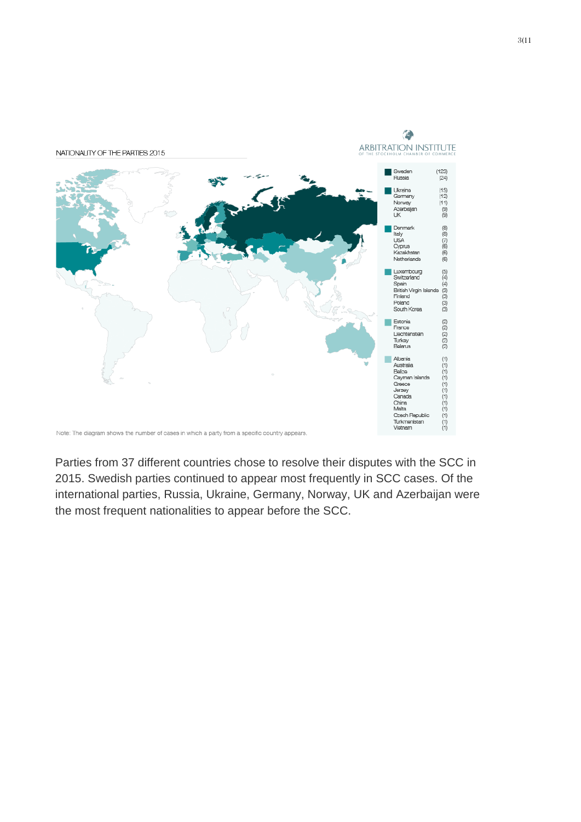

Parties from 37 different countries chose to resolve their disputes with the SCC in 2015. Swedish parties continued to appear most frequently in SCC cases. Of the international parties, Russia, Ukraine, Germany, Norway, UK and Azerbaijan were the most frequent nationalities to appear before the SCC.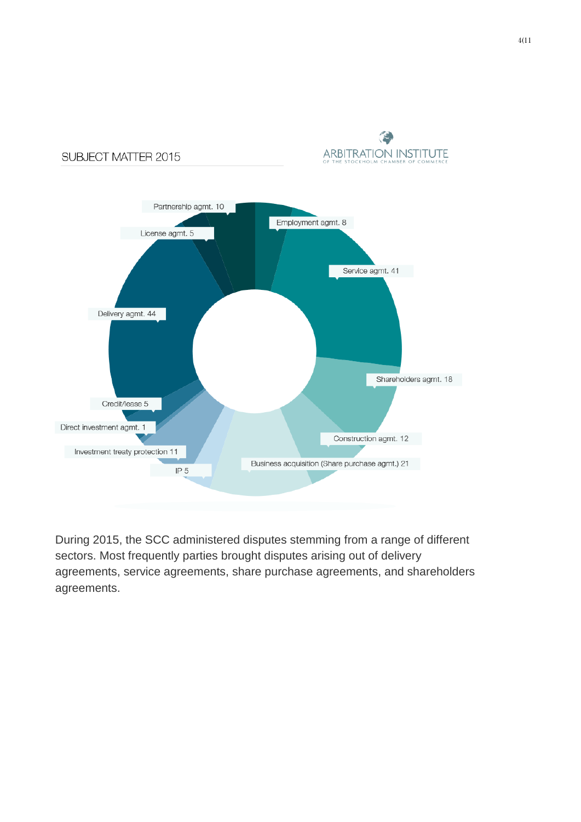

SUBJECT MATTER 2015



During 2015, the SCC administered disputes stemming from a range of different sectors. Most frequently parties brought disputes arising out of delivery agreements, service agreements, share purchase agreements, and shareholders agreements.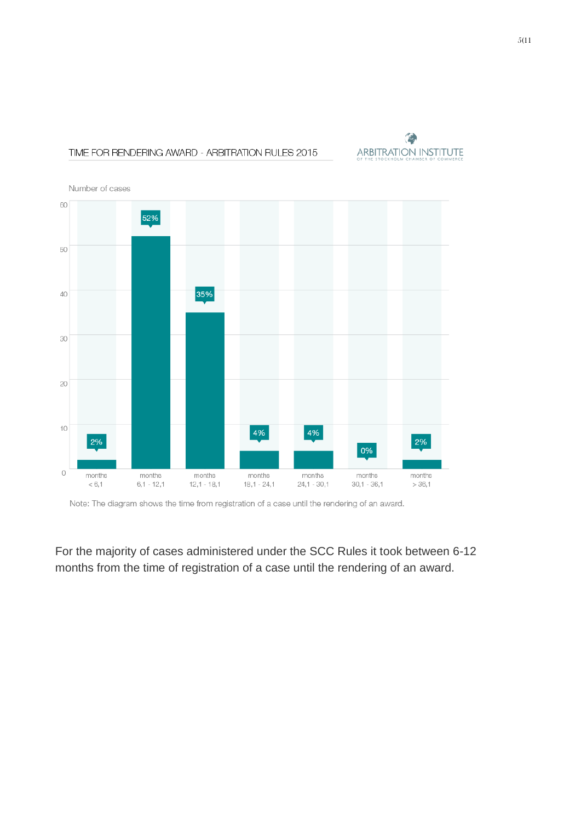## ۵ **ARBITRATION INSTITUTE**



TIME FOR RENDERING AWARD - ARBITRATION RULES 2015

Note: The diagram shows the time from registration of a case until the rendering of an award.

For the majority of cases administered under the SCC Rules it took between 6-12 months from the time of registration of a case until the rendering of an award.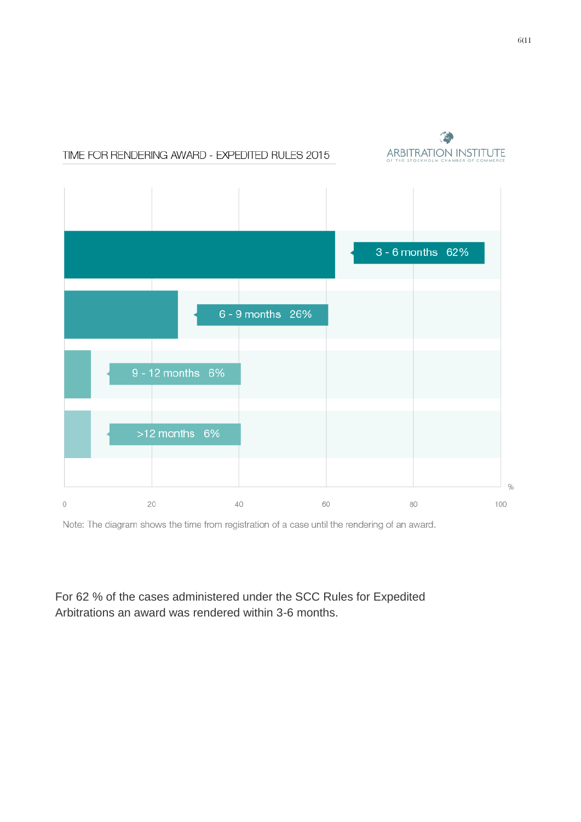

Note: The diagram shows the time from registration of a case until the rendering of an award.

For 62 % of the cases administered under the SCC Rules for Expedited Arbitrations an award was rendered within 3-6 months.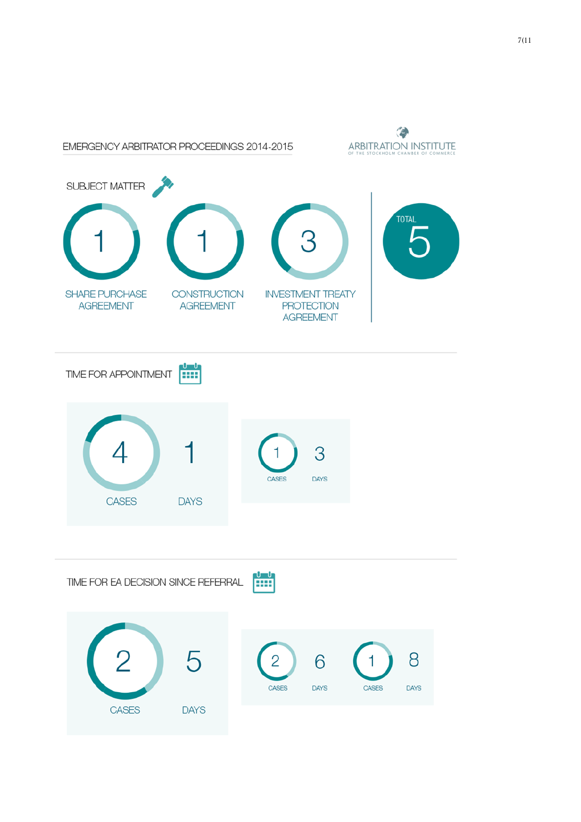

7(11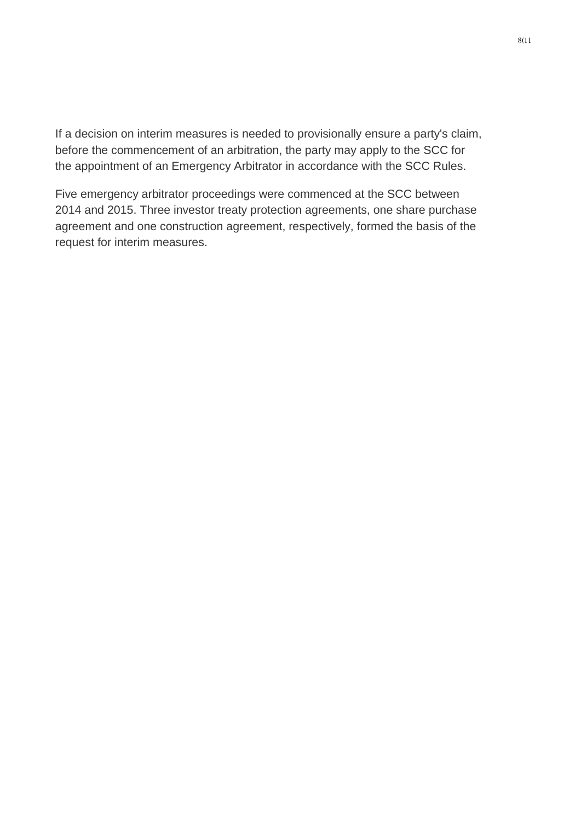If a decision on interim measures is needed to provisionally ensure a party's claim, before the commencement of an arbitration, the party may apply to the SCC for the appointment of an Emergency Arbitrator in accordance with the SCC Rules.

Five emergency arbitrator proceedings were commenced at the SCC between 2014 and 2015. Three investor treaty protection agreements, one share purchase agreement and one construction agreement, respectively, formed the basis of the request for interim measures.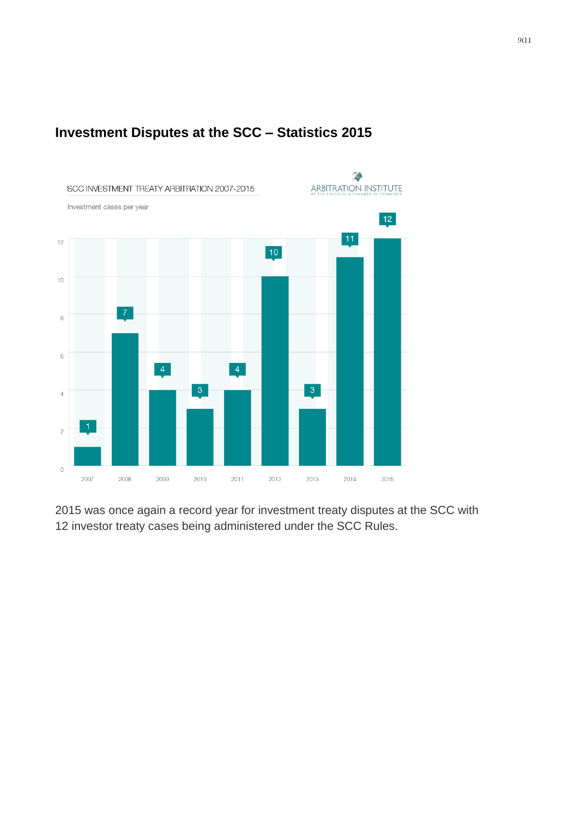

## **Investment Disputes at the SCC – Statistics 2015**

2015 was once again a record year for investment treaty disputes at the SCC with 12 investor treaty cases being administered under the SCC Rules.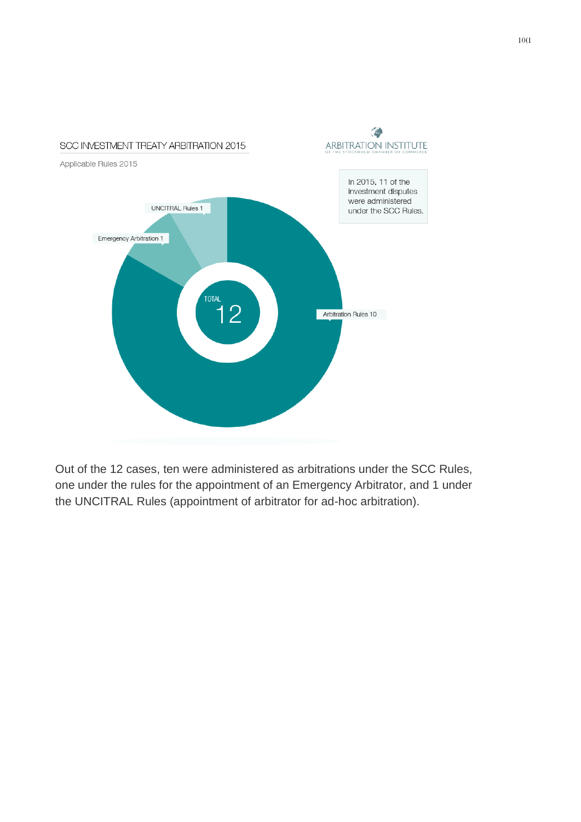

Out of the 12 cases, ten were administered as arbitrations under the SCC Rules, one under the rules for the appointment of an Emergency Arbitrator, and 1 under the UNCITRAL Rules (appointment of arbitrator for ad-hoc arbitration).